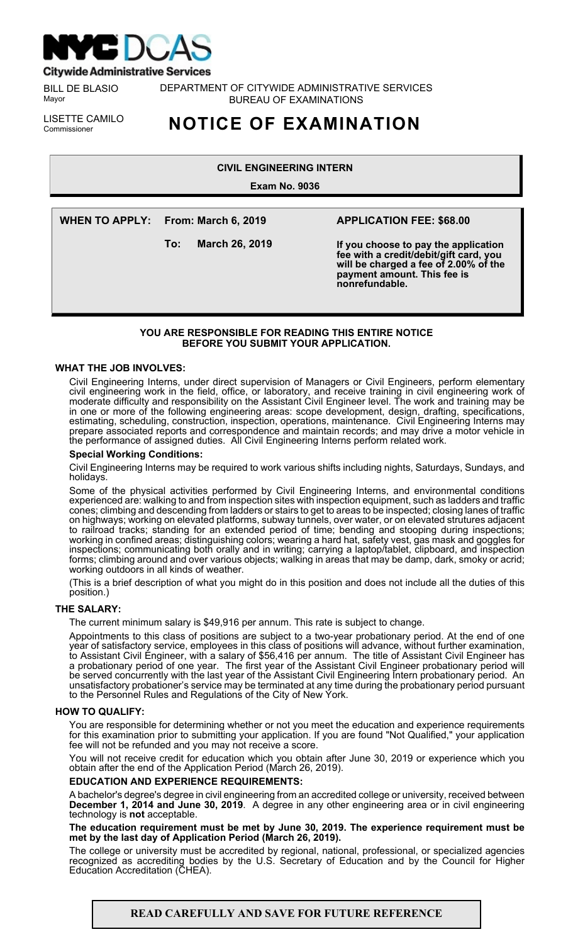

**Citywide Administrative Services** 

BILL DE BLASIO Mayor

DEPARTMENT OF CITYWIDE ADMINISTRATIVE SERVICES BUREAU OF EXAMINATIONS

LISETTE CAMILO<br>Commissioner

# **NOTICE OF EXAMINATION**

# **CIVIL ENGINEERING INTERN**

**Exam No. 9036**

**WHEN TO APPLY: From: March 6, 2019**

**To: March 26, 2019**

# **APPLICATION FEE: \$68.00**

**If you choose to pay the application fee with a credit/debit/gift card, you will be charged a fee of 2.00% of the payment amount. This fee is nonrefundable.**

## **YOU ARE RESPONSIBLE FOR READING THIS ENTIRE NOTICE BEFORE YOU SUBMIT YOUR APPLICATION.**

## **WHAT THE JOB INVOLVES:**

Civil Engineering Interns, under direct supervision of Managers or Civil Engineers, perform elementary civil engineering work in the field, office, or laboratory, and receive training in civil engineering work of moderate difficulty and responsibility on the Assistant Civil Engineer level. The work and training may be in one or more of the following engineering areas: scope development, design, drafting, specifications, estimating, scheduling, construction, inspection, operations, maintenance. Civil Engineering Interns may prepare associated reports and correspondence and maintain records; and may drive a motor vehicle in the performance of assigned duties. All Civil Engineering Interns perform related work.

## **Special Working Conditions:**

Civil Engineering Interns may be required to work various shifts including nights, Saturdays, Sundays, and holidays.

Some of the physical activities performed by Civil Engineering Interns, and environmental conditions experienced are: walking to and from inspection sites with inspection equipment, such as ladders and traffic cones; climbing and descending from ladders or stairs to get to areas to be inspected; closing lanes of traffic on highways; working on elevated platforms, subway tunnels, over water, or on elevated strutures adjacent to railroad tracks; standing for an extended period of time; bending and stooping during inspections; working in confined areas; distinguishing colors; wearing a hard hat, safety vest, gas mask and goggles for inspections; communicating both orally and in writing; carrying a laptop/tablet, clipboard, and inspection forms; climbing around and over various objects; walking in areas that may be damp, dark, smoky or acrid; working outdoors in all kinds of weather.

(This is a brief description of what you might do in this position and does not include all the duties of this position.)

#### **THE SALARY:**

The current minimum salary is \$49,916 per annum. This rate is subject to change.

Appointments to this class of positions are subject to a two-year probationary period. At the end of one year of satisfactory service, employees in this class of positions will advance, without further examination, to Assistant Civil Engineer, with a salary of \$56,416 per annum. The title of Assistant Civil Engineer has a probationary period of one year. The first year of the Assistant Civil Engineer probationary period will be served concurrently with the last year of the Assistant Civil Engineering Intern probationary period. An unsatisfactory probationer's service may be terminated at any time during the probationary period pursuant to the Personnel Rules and Regulations of the City of New York.

## **HOW TO QUALIFY:**

You are responsible for determining whether or not you meet the education and experience requirements for this examination prior to submitting your application. If you are found "Not Qualified," your application fee will not be refunded and you may not receive a score.

You will not receive credit for education which you obtain after June 30, 2019 or experience which you obtain after the end of the Application Period (March 26, 2019).

# **EDUCATION AND EXPERIENCE REQUIREMENTS:**

A bachelor's degree's degree in civil engineering from an accredited college or university, received between **December 1, 2014 and June 30, 2019**. A degree in any other engineering area or in civil engineering technology is **not** acceptable.

#### **The education requirement must be met by June 30, 2019. The experience requirement must be met by the last day of Application Period (March 26, 2019).**

The college or university must be accredited by regional, national, professional, or specialized agencies recognized as accrediting bodies by the U.S. Secretary of Education and by the Council for Higher Education Accreditation (CHEA).

**READ CAREFULLY AND SAVE FOR FUTURE REFERENCE**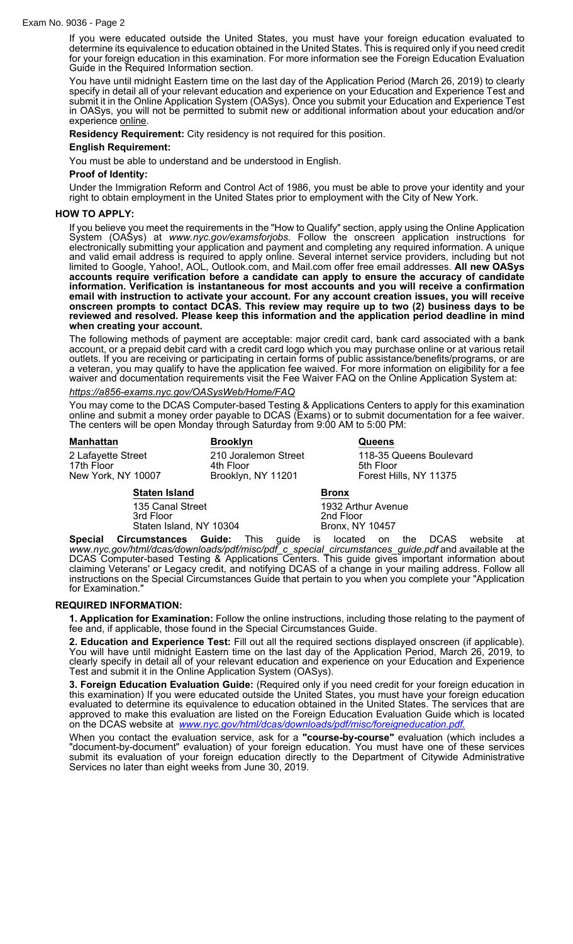#### Exam No. 9036 - Page 2

If you were educated outside the United States, you must have your foreign education evaluated to determine its equivalence to education obtained in the United States. This is required only if you need credit for your foreign education in this examination. For more information see the Foreign Education Evaluation Guide in the Required Information section.

You have until midnight Eastern time on the last day of the Application Period (March 26, 2019) to clearly specify in detail all of your relevant education and experience on your Education and Experience Test and submit it in the Online Application System (OASys). Once you submit your Education and Experience Test in OASys, you will not be permitted to submit new or additional information about your education and/or experience online.

**Residency Requirement:** City residency is not required for this position.

#### **English Requirement:**

You must be able to understand and be understood in English.

#### **Proof of Identity:**

Under the Immigration Reform and Control Act of 1986, you must be able to prove your identity and your right to obtain employment in the United States prior to employment with the City of New York.

#### **HOW TO APPLY:**

If you believe you meet the requirements in the "How to Qualify" section, apply using the Online Application System (OASys) at *www.nyc.gov/examsforjobs*. Follow the onscreen application instructions for electronically submitting your application and payment and completing any required information. A unique and valid email address is required to apply online. Several internet service providers, including but not limited to Google, Yahoo!, AOL, Outlook.com, and Mail.com offer free email addresses. **All new OASys accounts require verification before a candidate can apply to ensure the accuracy of candidate information. Verification is instantaneous for most accounts and you will receive a confirmation email with instruction to activate your account. For any account creation issues, you will receive onscreen prompts to contact DCAS. This review may require up to two (2) business days to be reviewed and resolved. Please keep this information and the application period deadline in mind when creating your account.**

The following methods of payment are acceptable: major credit card, bank card associated with a bank account, or a prepaid debit card with a credit card logo which you may purchase online or at various retail outlets. If you are receiving or participating in certain forms of public assistance/benefits/programs, or are a veteran, you may qualify to have the application fee waived. For more information on eligibility for a fee waiver and documentation requirements visit the Fee Waiver FAQ on the Online Application System at:

#### *https://a856-exams.nyc.gov/OASysWeb/Home/FAQ*

You may come to the DCAS Computer-based Testing & Applications Centers to apply for this examination online and submit a money order payable to DCAS (Exams) or to submit documentation for a fee waiver. The centers will be open Monday through Saturday from 9:00 AM to 5:00 PM:

| <b>Manhattan</b>                                       |                      | <b>Brooklyn</b>                                         |              | <b>Queens</b>                                                  |
|--------------------------------------------------------|----------------------|---------------------------------------------------------|--------------|----------------------------------------------------------------|
| 2 Lafayette Street<br>17th Floor<br>New York, NY 10007 |                      | 210 Joralemon Street<br>4th Floor<br>Brooklyn, NY 11201 |              | 118-35 Queens Boulevard<br>5th Floor<br>Forest Hills, NY 11375 |
|                                                        | <b>Staten Island</b> |                                                         | <b>Bronx</b> |                                                                |
| 135 Canal Street                                       |                      | 1932 Arthur Avenue                                      |              |                                                                |

3rd Floor 2nd Floor Staten Island, NY 10304

**Special Circumstances Guide:** This guide is located on the DCAS website at *www.nyc.gov/html/dcas/downloads/pdf/misc/pdf\_c\_special\_circumstances\_guide.pdf* and available at the DCAS Computer-based Testing & Applications Centers. This guide gives important information about claiming Veterans' or Legacy credit, and notifying DCAS of a change in your mailing address. Follow all instructions on the Special Circumstances Guide that pertain to you when you complete your "Application for Examination."

#### **REQUIRED INFORMATION:**

**1. Application for Examination:** Follow the online instructions, including those relating to the payment of fee and, if applicable, those found in the Special Circumstances Guide.

**2. Education and Experience Test:** Fill out all the required sections displayed onscreen (if applicable). You will have until midnight Eastern time on the last day of the Application Period, March 26, 2019, to clearly specify in detail all of your relevant education and experience on your Education and Experience Test and submit it in the Online Application System (OASys).

**3. Foreign Education Evaluation Guide:** (Required only if you need credit for your foreign education in this examination) If you were educated outside the United States, you must have your foreign education evaluated to determine its equivalence to education obtained in the United States. The services that are approved to make this evaluation are listed on the Foreign Education Evaluation Guide which is located on the DCAS website at *[www.nyc.gov/html/dcas/downloads/pdf/misc/foreigneducation.pdf.](http://www.nyc.gov/html/dcas/downloads/pdf/misc/foreigneducation.pdf.)*

When you contact the evaluation service, ask for a **"course-by-course"** evaluation (which includes a "document-by-document" evaluation) of your foreign education. You must have one of these services submit its evaluation of your foreign education directly to the Department of Citywide Administrative Services no later than eight weeks from June 30, 2019.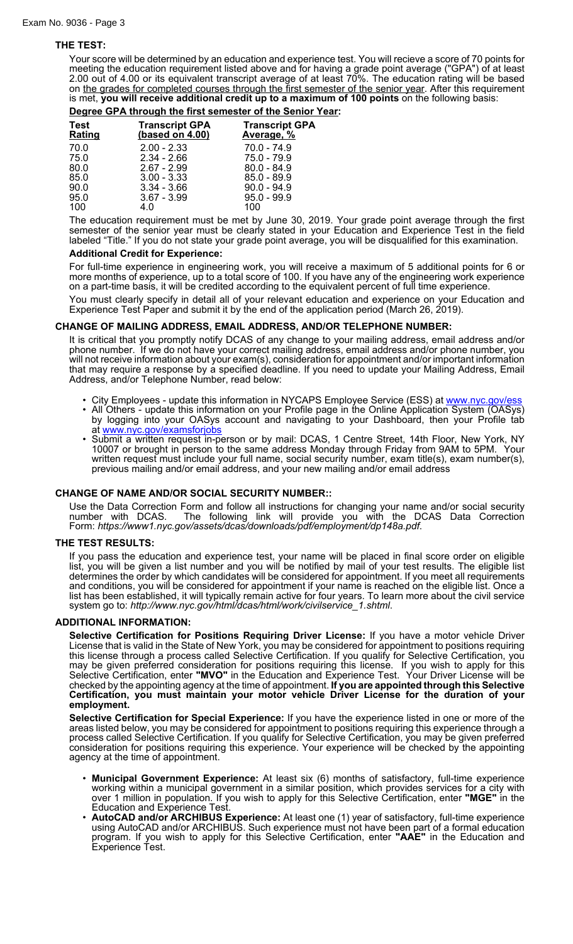## **THE TEST:**

Your score will be determined by an education and experience test. You will recieve a score of 70 points for meeting the education requirement listed above and for having a grade point average ("GPA") of at least 2.00 out of 4.00 or its equivalent transcript average of at least 70%. The education rating will be based on the grades for completed courses through the first semester of the senior year. After this requirement is met, **you will receive additional credit up to a maximum of 100 points** on the following basis:

#### **Degree GPA through the first semester of the Senior Year:**

| <b>Test</b><br>Rating | <b>Transcript GPA</b><br>(based on 4.00) | <b>Transcript GPA</b><br><u>Average, %</u> |
|-----------------------|------------------------------------------|--------------------------------------------|
| 70.0                  | $2.00 - 2.33$                            | $70.0 - 74.9$                              |
| 75.0                  | $2.34 - 2.66$                            | $75.0 - 79.9$                              |
| 80.0                  | $2.67 - 2.99$                            | $80.0 - 84.9$                              |
| 85.0                  | $3.00 - 3.33$                            | $85.0 - 89.9$                              |
| 90.0                  | $3.34 - 3.66$                            | $90.0 - 94.9$                              |
| 95.0                  | $3.67 - 3.99$                            | $95.0 - 99.9$                              |
| 100                   | 4.0                                      | 100                                        |
|                       |                                          |                                            |

The education requirement must be met by June 30, 2019. Your grade point average through the first semester of the senior year must be clearly stated in your Education and Experience Test in the field labeled "Title." If you do not state your grade point average, you will be disqualified for this examination.

#### **Additional Credit for Experience:**

For full-time experience in engineering work, you will receive a maximum of 5 additional points for 6 or more months of experience, up to a total score of 100. If you have any of the engineering work experience on a part-time basis, it will be credited according to the equivalent percent of full time experience.

You must clearly specify in detail all of your relevant education and experience on your Education and Experience Test Paper and submit it by the end of the application period (March 26, 2019).

## **CHANGE OF MAILING ADDRESS, EMAIL ADDRESS, AND/OR TELEPHONE NUMBER:**

It is critical that you promptly notify DCAS of any change to your mailing address, email address and/or phone number. If we do not have your correct mailing address, email address and/or phone number, you will not receive information about your exam(s), consideration for appointment and/or important information that may require a response by a specified deadline. If you need to update your Mailing Address, Email Address, and/or Telephone Number, read below:

- City Employees update this information in NYCAPS Employee Service (ESS) at [www.nyc.gov/ess](http://www.nyc.gov/ess)
- All Others update this information on your Profile page in the Online Application System (OASys) by logging into your OASys account and navigating to your Dashboard, then your Profile tab at [www.nyc.gov/examsforjobs](http://www.nyc.gov/examsforjobs)
- Submit a written request in-person or by mail: DCAS, 1 Centre Street, 14th Floor, New York, NY 10007 or brought in person to the same address Monday through Friday from 9AM to 5PM. Your written request must include your full name, social security number, exam title(s), exam number(s), previous mailing and/or email address, and your new mailing and/or email address

## **CHANGE OF NAME AND/OR SOCIAL SECURITY NUMBER::**

Use the Data Correction Form and follow all instructions for changing your name and/or social security number with DCAS. The following link will provide you with the DCAS Data Correction Form: *https://www1.nyc.gov/assets/dcas/downloads/pdf/employment/dp148a.pdf*.

#### **THE TEST RESULTS:**

If you pass the education and experience test, your name will be placed in final score order on eligible list, you will be given a list number and you will be notified by mail of your test results. The eligible list determines the order by which candidates will be considered for appointment. If you meet all requirements and conditions, you will be considered for appointment if your name is reached on the eligible list. Once a list has been established, it will typically remain active for four years. To learn more about the civil service system go to: *http://www.nyc.gov/html/dcas/html/work/civilservice\_1.shtml*.

#### **ADDITIONAL INFORMATION:**

**Selective Certification for Positions Requiring Driver License:** If you have a motor vehicle Driver License that is valid in the State of New York, you may be considered for appointment to positions requiring this license through a process called Selective Certification. If you qualify for Selective Certification, you may be given preferred consideration for positions requiring this license. If you wish to apply for this Selective Certification, enter **"MVO"** in the Education and Experience Test. Your Driver License will be checked by the appointing agency at the time of appointment. **If you are appointed through this Selective Certification, you must maintain your motor vehicle Driver License for the duration of your employment.**

**Selective Certification for Special Experience:** If you have the experience listed in one or more of the areas listed below, you may be considered for appointment to positions requiring this experience through a process called Selective Certification. If you qualify for Selective Certification, you may be given preferred consideration for positions requiring this experience. Your experience will be checked by the appointing agency at the time of appointment.

- **Municipal Government Experience:** At least six (6) months of satisfactory, full-time experience working within a municipal government in a similar position, which provides services for a city with over 1 million in population. If you wish to apply for this Selective Certification, enter **"MGE"** in the Education and Experience Test.
- **AutoCAD and/or ARCHIBUS Experience:** At least one (1) year of satisfactory, full-time experience using AutoCAD and/or ARCHIBUS. Such experience must not have been part of a formal education program. If you wish to apply for this Selective Certification, enter **"AAE"** in the Education and Experience Test.